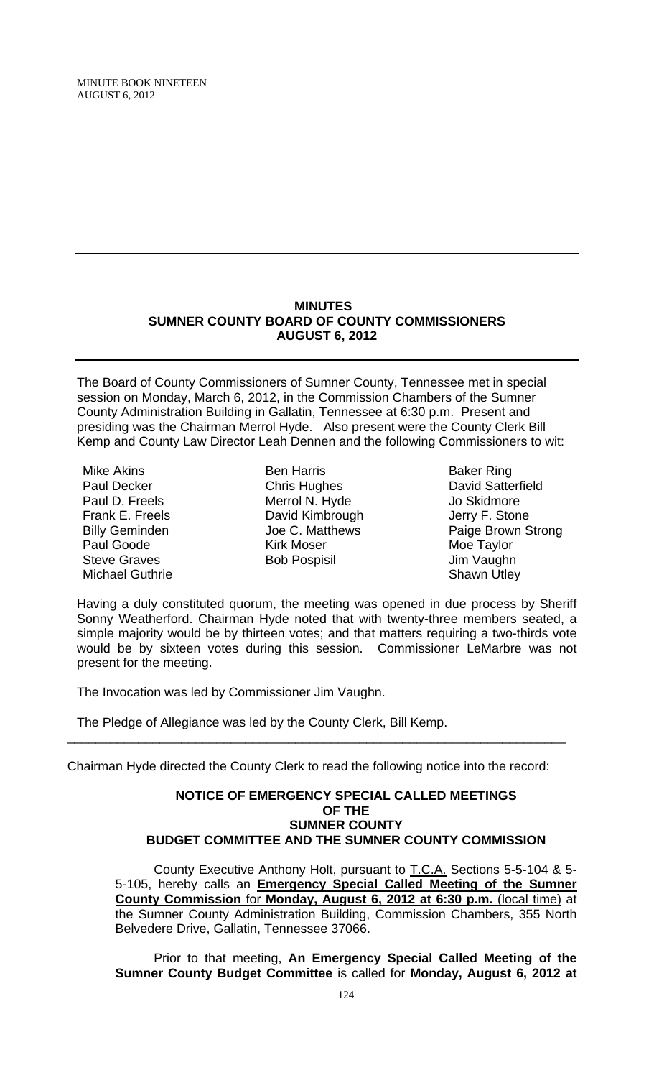MINUTE BOOK NINETEEN AUGUST 6, 2012

### **MINUTES SUMNER COUNTY BOARD OF COUNTY COMMISSIONERS AUGUST 6, 2012**

The Board of County Commissioners of Sumner County, Tennessee met in special session on Monday, March 6, 2012, in the Commission Chambers of the Sumner County Administration Building in Gallatin, Tennessee at 6:30 p.m. Present and presiding was the Chairman Merrol Hyde. Also present were the County Clerk Bill Kemp and County Law Director Leah Dennen and the following Commissioners to wit:

Mike Akins Paul Decker Paul D. Freels Frank E. Freels Billy Geminden Paul Goode Steve Graves Michael Guthrie

Ben Harris Chris Hughes Merrol N. Hyde David Kimbrough Joe C. Matthews Kirk Moser Bob Pospisil

Baker Ring David Satterfield Jo Skidmore Jerry F. Stone Paige Brown Strong Moe Taylor Jim Vaughn Shawn Utley

Having a duly constituted quorum, the meeting was opened in due process by Sheriff Sonny Weatherford. Chairman Hyde noted that with twenty-three members seated, a simple majority would be by thirteen votes; and that matters requiring a two-thirds vote would be by sixteen votes during this session. Commissioner LeMarbre was not present for the meeting.

The Invocation was led by Commissioner Jim Vaughn.

The Pledge of Allegiance was led by the County Clerk, Bill Kemp.

Chairman Hyde directed the County Clerk to read the following notice into the record:

\_\_\_\_\_\_\_\_\_\_\_\_\_\_\_\_\_\_\_\_\_\_\_\_\_\_\_\_\_\_\_\_\_\_\_\_\_\_\_\_\_\_\_\_\_\_\_\_\_\_\_\_\_\_\_\_\_\_\_\_\_\_\_\_\_\_\_\_\_\_

### **NOTICE OF EMERGENCY SPECIAL CALLED MEETINGS OF THE SUMNER COUNTY BUDGET COMMITTEE AND THE SUMNER COUNTY COMMISSION**

County Executive Anthony Holt, pursuant to T.C.A. Sections 5-5-104 & 5- 5-105, hereby calls an **Emergency Special Called Meeting of the Sumner County Commission** for **Monday, August 6, 2012 at 6:30 p.m.** (local time) at the Sumner County Administration Building, Commission Chambers, 355 North Belvedere Drive, Gallatin, Tennessee 37066.

Prior to that meeting, **An Emergency Special Called Meeting of the Sumner County Budget Committee** is called for **Monday, August 6, 2012 at**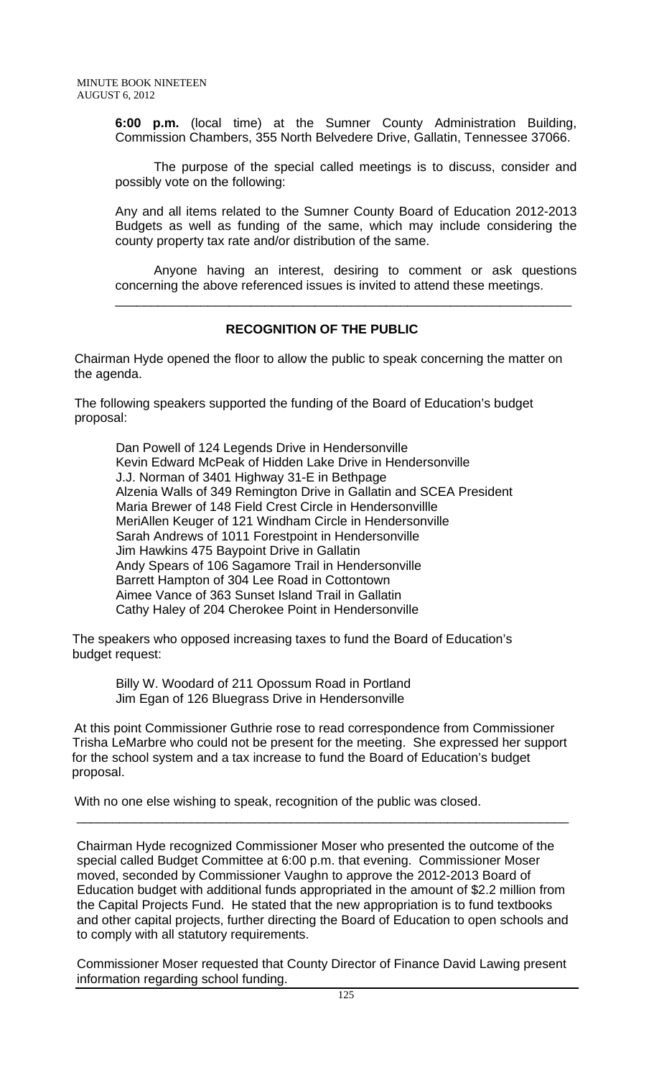**6:00 p.m.** (local time) at the Sumner County Administration Building, Commission Chambers, 355 North Belvedere Drive, Gallatin, Tennessee 37066.

The purpose of the special called meetings is to discuss, consider and possibly vote on the following:

Any and all items related to the Sumner County Board of Education 2012-2013 Budgets as well as funding of the same, which may include considering the county property tax rate and/or distribution of the same.

 Anyone having an interest, desiring to comment or ask questions concerning the above referenced issues is invited to attend these meetings.

\_\_\_\_\_\_\_\_\_\_\_\_\_\_\_\_\_\_\_\_\_\_\_\_\_\_\_\_\_\_\_\_\_\_\_\_\_\_\_\_\_\_\_\_\_\_\_\_\_\_\_\_\_\_\_\_\_\_\_\_\_\_\_\_

# **RECOGNITION OF THE PUBLIC**

 Chairman Hyde opened the floor to allow the public to speak concerning the matter on the agenda.

 The following speakers supported the funding of the Board of Education's budget proposal:

Dan Powell of 124 Legends Drive in Hendersonville Kevin Edward McPeak of Hidden Lake Drive in Hendersonville J.J. Norman of 3401 Highway 31-E in Bethpage Alzenia Walls of 349 Remington Drive in Gallatin and SCEA President Maria Brewer of 148 Field Crest Circle in Hendersonvillle MeriAllen Keuger of 121 Windham Circle in Hendersonville Sarah Andrews of 1011 Forestpoint in Hendersonville Jim Hawkins 475 Baypoint Drive in Gallatin Andy Spears of 106 Sagamore Trail in Hendersonville Barrett Hampton of 304 Lee Road in Cottontown Aimee Vance of 363 Sunset Island Trail in Gallatin Cathy Haley of 204 Cherokee Point in Hendersonville

The speakers who opposed increasing taxes to fund the Board of Education's budget request:

Billy W. Woodard of 211 Opossum Road in Portland Jim Egan of 126 Bluegrass Drive in Hendersonville

 At this point Commissioner Guthrie rose to read correspondence from Commissioner Trisha LeMarbre who could not be present for the meeting. She expressed her support for the school system and a tax increase to fund the Board of Education's budget proposal.

With no one else wishing to speak, recognition of the public was closed.

Chairman Hyde recognized Commissioner Moser who presented the outcome of the special called Budget Committee at 6:00 p.m. that evening. Commissioner Moser moved, seconded by Commissioner Vaughn to approve the 2012-2013 Board of Education budget with additional funds appropriated in the amount of \$2.2 million from the Capital Projects Fund. He stated that the new appropriation is to fund textbooks and other capital projects, further directing the Board of Education to open schools and to comply with all statutory requirements.

\_\_\_\_\_\_\_\_\_\_\_\_\_\_\_\_\_\_\_\_\_\_\_\_\_\_\_\_\_\_\_\_\_\_\_\_\_\_\_\_\_\_\_\_\_\_\_\_\_\_\_\_\_\_\_\_\_\_\_\_\_\_\_\_\_\_\_\_\_

Commissioner Moser requested that County Director of Finance David Lawing present information regarding school funding.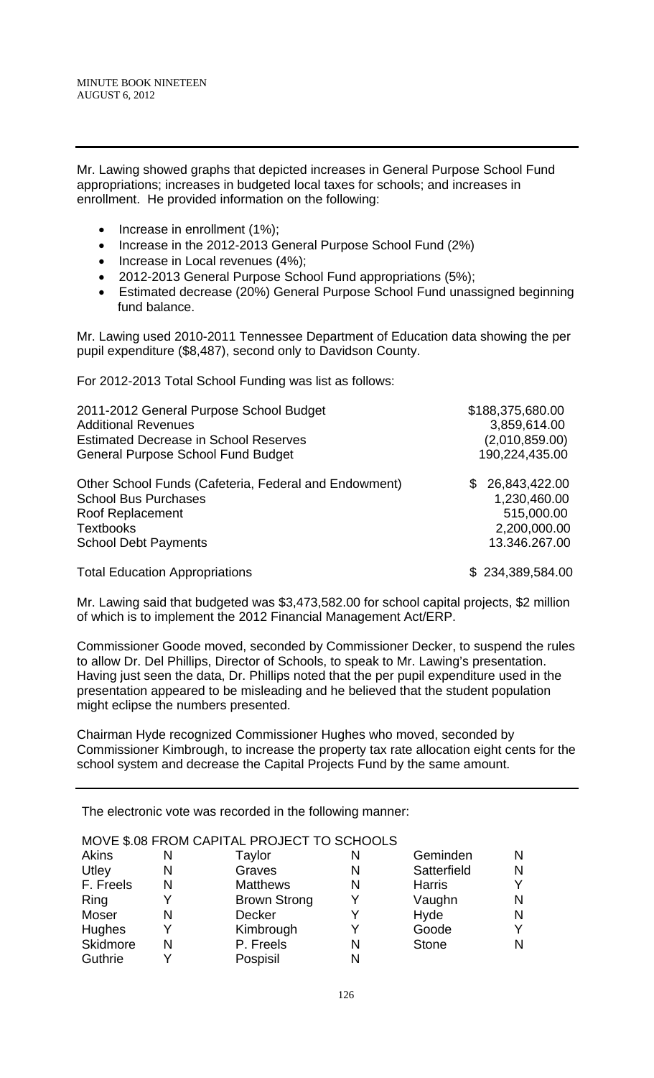Mr. Lawing showed graphs that depicted increases in General Purpose School Fund appropriations; increases in budgeted local taxes for schools; and increases in enrollment. He provided information on the following:

- Increase in enrollment (1%);
- Increase in the 2012-2013 General Purpose School Fund (2%)
- Increase in Local revenues (4%);
- 2012-2013 General Purpose School Fund appropriations (5%);
- Estimated decrease (20%) General Purpose School Fund unassigned beginning fund balance.

Mr. Lawing used 2010-2011 Tennessee Department of Education data showing the per pupil expenditure (\$8,487), second only to Davidson County.

For 2012-2013 Total School Funding was list as follows:

| 2011-2012 General Purpose School Budget               | \$188,375,680.00     |
|-------------------------------------------------------|----------------------|
| <b>Additional Revenues</b>                            | 3,859,614.00         |
| <b>Estimated Decrease in School Reserves</b>          | (2,010,859.00)       |
| <b>General Purpose School Fund Budget</b>             | 190,224,435.00       |
| Other School Funds (Cafeteria, Federal and Endowment) | 26,843,422.00<br>SS. |
| <b>School Bus Purchases</b>                           | 1,230,460.00         |
| <b>Roof Replacement</b>                               | 515,000.00           |
| <b>Textbooks</b>                                      | 2,200,000.00         |
| <b>School Debt Payments</b>                           | 13.346.267.00        |
| <b>Total Education Appropriations</b>                 | \$234,389,584.00     |

Mr. Lawing said that budgeted was \$3,473,582.00 for school capital projects, \$2 million of which is to implement the 2012 Financial Management Act/ERP.

Commissioner Goode moved, seconded by Commissioner Decker, to suspend the rules to allow Dr. Del Phillips, Director of Schools, to speak to Mr. Lawing's presentation. Having just seen the data, Dr. Phillips noted that the per pupil expenditure used in the presentation appeared to be misleading and he believed that the student population might eclipse the numbers presented.

Chairman Hyde recognized Commissioner Hughes who moved, seconded by Commissioner Kimbrough, to increase the property tax rate allocation eight cents for the school system and decrease the Capital Projects Fund by the same amount.

The electronic vote was recorded in the following manner:

#### MOVE \$.08 FROM CAPITAL PROJECT TO SCHOOLS

| <b>Akins</b>  | Ν | Taylor              | N | Geminden     | N |
|---------------|---|---------------------|---|--------------|---|
| Utley         | N | Graves              | N | Satterfield  | N |
| F. Freels     | N | <b>Matthews</b>     | N | Harris       |   |
| Ring          |   | <b>Brown Strong</b> | v | Vaughn       | N |
| Moser         | N | Decker              | v | Hyde         | N |
| <b>Hughes</b> | Y | Kimbrough           | v | Goode        |   |
| Skidmore      | N | P. Freels           | N | <b>Stone</b> | N |
| Guthrie       |   | Pospisil            |   |              |   |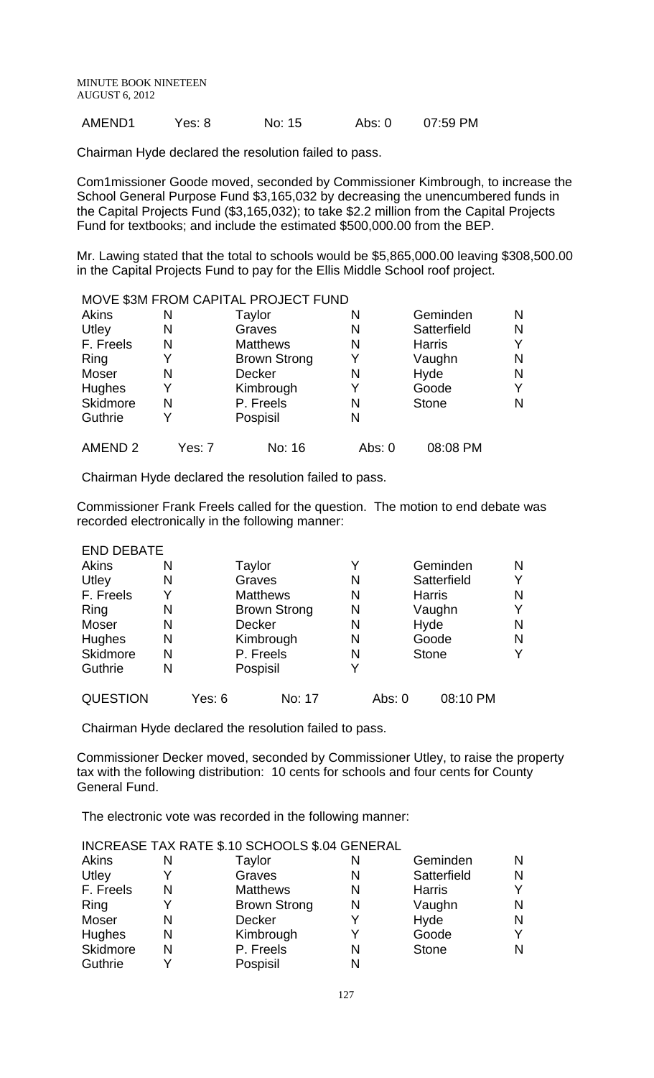| <b>MINUTE BOOK NINETEEN</b><br>AUGUST 6, 2012 |        |        |        |          |
|-----------------------------------------------|--------|--------|--------|----------|
| AMEND1                                        | Yes: 8 | No: 15 | Abs: 0 | 07:59 PM |

Chairman Hyde declared the resolution failed to pass.

Com1missioner Goode moved, seconded by Commissioner Kimbrough, to increase the School General Purpose Fund \$3,165,032 by decreasing the unencumbered funds in the Capital Projects Fund (\$3,165,032); to take \$2.2 million from the Capital Projects Fund for textbooks; and include the estimated \$500,000.00 from the BEP.

Mr. Lawing stated that the total to schools would be \$5,865,000.00 leaving \$308,500.00 in the Capital Projects Fund to pay for the Ellis Middle School roof project.

|                    |        | MOVE \$3M FROM CAPITAL PROJECT FUND |        |               |   |
|--------------------|--------|-------------------------------------|--------|---------------|---|
| Akins              | N      | Taylor                              | N      | Geminden      | N |
| Utley              | N      | Graves                              | N      | Satterfield   | N |
| F. Freels          | N      | <b>Matthews</b>                     | N      | <b>Harris</b> | Y |
| Ring               | Y      | <b>Brown Strong</b>                 | Y      | Vaughn        | N |
| Moser              | N      | <b>Decker</b>                       | N      | Hyde          | N |
| Hughes             | Y      | Kimbrough                           | Y      | Goode         | Y |
| Skidmore           | N      | P. Freels                           | N      | <b>Stone</b>  | N |
| Guthrie            | Y      | Pospisil                            | N      |               |   |
| AMEND <sub>2</sub> | Yes: 7 | No: 16                              | Abs: 0 | 08:08 PM      |   |

Chairman Hyde declared the resolution failed to pass.

Commissioner Frank Freels called for the question. The motion to end debate was recorded electronically in the following manner:

| <b>END DEBATE</b> |   |        |                     |   |        |               |   |
|-------------------|---|--------|---------------------|---|--------|---------------|---|
| <b>Akins</b>      | N |        | Taylor              | Y |        | Geminden      | N |
| Utley             | N |        | Graves              | N |        | Satterfield   | Y |
| F. Freels         | Y |        | <b>Matthews</b>     | N |        | <b>Harris</b> | N |
| Ring              | N |        | <b>Brown Strong</b> | Ν |        | Vaughn        | Y |
| Moser             | N |        | <b>Decker</b>       | N |        | Hyde          | N |
| Hughes            | N |        | Kimbrough           | N |        | Goode         | N |
| Skidmore          | N |        | P. Freels           | N |        | <b>Stone</b>  | v |
| Guthrie           | N |        | Pospisil            | Y |        |               |   |
| <b>QUESTION</b>   |   | Yes: 6 | No: 17              |   | Abs: 0 | 08:10 PM      |   |

Chairman Hyde declared the resolution failed to pass.

Commissioner Decker moved, seconded by Commissioner Utley, to raise the property tax with the following distribution: 10 cents for schools and four cents for County General Fund.

The electronic vote was recorded in the following manner:

INCREASE TAX RATE \$.10 SCHOOLS \$.04 GENERAL

| N | Taylor              | N | Geminden     | N                                             |
|---|---------------------|---|--------------|-----------------------------------------------|
|   | Graves              | N | Satterfield  | N                                             |
| N | <b>Matthews</b>     | N | Harris       |                                               |
| v | <b>Brown Strong</b> | N | Vaughn       | N                                             |
| N | <b>Decker</b>       |   | Hyde         | N                                             |
| N | Kimbrough           |   | Goode        |                                               |
| N | P. Freels           | N | <b>Stone</b> | N                                             |
|   | Pospisil            |   |              |                                               |
|   |                     |   |              | INUREASE TAA RATE \$.10 SUNUULS \$.04 GENERAL |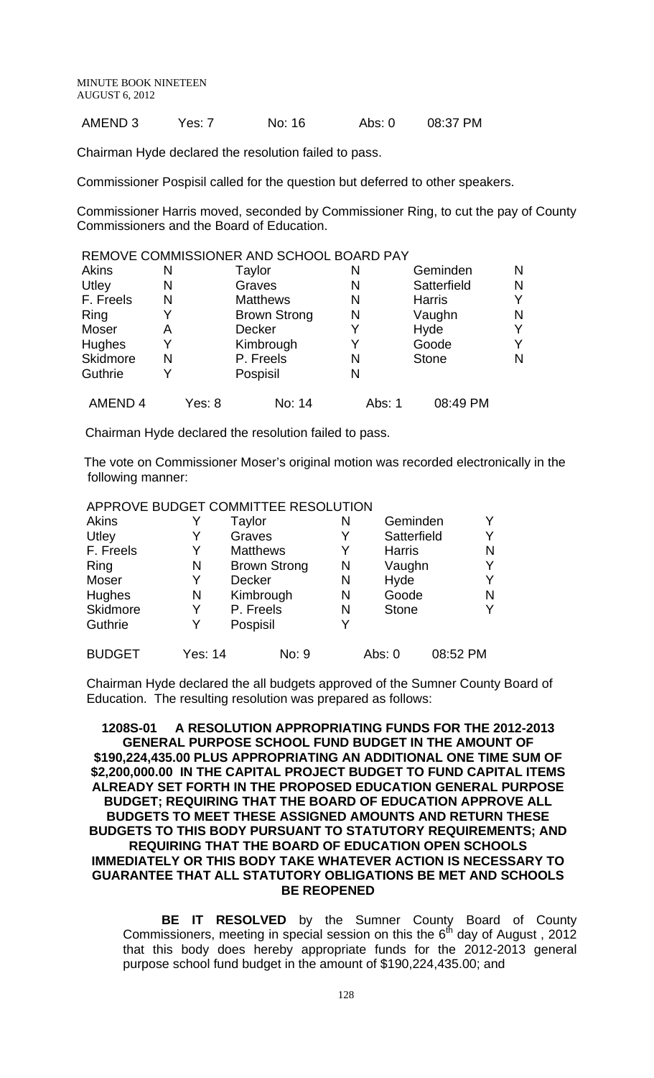MINUTE BOOK NINETEEN AUGUST 6, 2012

## AMEND 3 Yes: 7 No: 16 Abs: 0 08:37 PM

Chairman Hyde declared the resolution failed to pass.

Commissioner Pospisil called for the question but deferred to other speakers.

Commissioner Harris moved, seconded by Commissioner Ring, to cut the pay of County Commissioners and the Board of Education.

|               |   |        | REMOVE COMMISSIONER AND SCHOOL BOARD PAY |        |               |   |
|---------------|---|--------|------------------------------------------|--------|---------------|---|
| Akins         | N |        | Taylor                                   | N      | Geminden      | N |
| Utley         | N |        | Graves                                   | N      | Satterfield   | N |
| F. Freels     | N |        | <b>Matthews</b>                          | N      | <b>Harris</b> | Y |
| Ring          | Y |        | <b>Brown Strong</b>                      | N      | Vaughn        | N |
| Moser         | Α |        | <b>Decker</b>                            | Y      | Hyde          |   |
| <b>Hughes</b> | Y |        | Kimbrough                                | Y      | Goode         |   |
| Skidmore      | N |        | P. Freels                                | N      | <b>Stone</b>  | N |
| Guthrie       | Y |        | Pospisil                                 | N      |               |   |
| <b>AMEND4</b> |   | Yes: 8 | No: 14                                   | Abs: 1 | 08:49 PM      |   |

Chairman Hyde declared the resolution failed to pass.

 The vote on Commissioner Moser's original motion was recorded electronically in the following manner:

#### APPROVE BUDGET COMMITTEE RESOLUTION

| <b>Akins</b>  | Y       | Taylor              | N | Geminden      |          |
|---------------|---------|---------------------|---|---------------|----------|
| Utley         | Y       | Graves              | Y | Satterfield   | v        |
| F. Freels     | Y       | <b>Matthews</b>     | Y | <b>Harris</b> | N        |
| Ring          | N       | <b>Brown Strong</b> | N | Vaughn        | v        |
| Moser         | Y       | <b>Decker</b>       | N | Hyde          |          |
| Hughes        | N       | Kimbrough           | N | Goode         | N        |
| Skidmore      | Y       | P. Freels           | N | <b>Stone</b>  | v        |
| Guthrie       | Y       | Pospisil            | Y |               |          |
| <b>BUDGET</b> | Yes: 14 | No: 9               |   | Abs: 0        | 08:52 PM |

Chairman Hyde declared the all budgets approved of the Sumner County Board of Education. The resulting resolution was prepared as follows:

**1208S-01 A RESOLUTION APPROPRIATING FUNDS FOR THE 2012-2013 GENERAL PURPOSE SCHOOL FUND BUDGET IN THE AMOUNT OF \$190,224,435.00 PLUS APPROPRIATING AN ADDITIONAL ONE TIME SUM OF \$2,200,000.00 IN THE CAPITAL PROJECT BUDGET TO FUND CAPITAL ITEMS ALREADY SET FORTH IN THE PROPOSED EDUCATION GENERAL PURPOSE BUDGET; REQUIRING THAT THE BOARD OF EDUCATION APPROVE ALL BUDGETS TO MEET THESE ASSIGNED AMOUNTS AND RETURN THESE BUDGETS TO THIS BODY PURSUANT TO STATUTORY REQUIREMENTS; AND REQUIRING THAT THE BOARD OF EDUCATION OPEN SCHOOLS IMMEDIATELY OR THIS BODY TAKE WHATEVER ACTION IS NECESSARY TO GUARANTEE THAT ALL STATUTORY OBLIGATIONS BE MET AND SCHOOLS BE REOPENED** 

**BE IT RESOLVED** by the Sumner County Board of County Commissioners, meeting in special session on this the 6<sup>th</sup> day of August, 2012 that this body does hereby appropriate funds for the 2012-2013 general purpose school fund budget in the amount of \$190,224,435.00; and